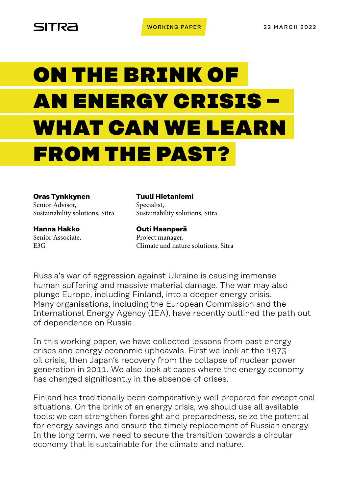

# ON THE BRINK OF AN ENERGY CRISIS – WHAT CAN WE LEARN FROM THE PAST?

**Oras Tynkkynen** Senior Advisor, Sustainability solutions, Sitra

**Hanna Hakko** Senior Associate, E3G

**Tuuli Hietaniemi** Specialist, Sustainability solutions, Sitra

**Outi Haanperä** Project manager, Climate and nature solutions, Sitra

Russia's war of aggression against Ukraine is causing immense human suffering and massive material damage. The war may also plunge Europe, including Finland, into a deeper energy crisis. Many organisations, including the European Commission and the International Energy Agency (IEA), have recently outlined the path out of dependence on Russia.

In this working paper, we have collected lessons from past energy crises and energy economic upheavals. First we look at the 1973 oil crisis, then Japan's recovery from the collapse of nuclear power generation in 2011. We also look at cases where the energy economy has changed significantly in the absence of crises.

Finland has traditionally been comparatively well prepared for exceptional situations. On the brink of an energy crisis, we should use all available tools: we can strengthen foresight and preparedness, seize the potential for energy savings and ensure the timely replacement of Russian energy. In the long term, we need to secure the transition towards a circular economy that is sustainable for the climate and nature.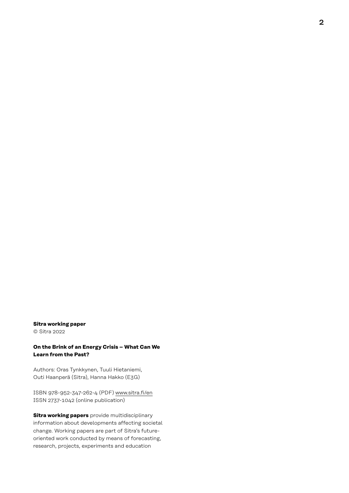#### **Sitra working paper**

© Sitra 2022

#### **On the Brink of an Energy Crisis – What Can We Learn from the Past?**

Authors: Oras Tynkkynen, Tuuli Hietaniemi, Outi Haanperä (Sitra), Hanna Hakko (E3G)

ISBN 978-952-347-262-4 (PDF) [www.sitra.fi/en](http://www.sitra.fi/en) ISSN 2737-1042 (online publication)

**Sitra working papers** provide multidisciplinary information about developments affecting societal change. Working papers are part of Sitra's futureoriented work conducted by means of forecasting, research, projects, experiments and education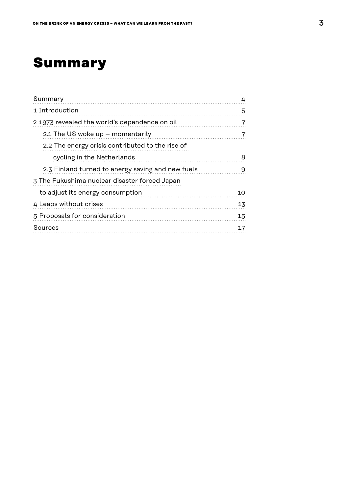# **Summary**

| Summary                                           | 4              |
|---------------------------------------------------|----------------|
| 1 Introduction                                    | 5              |
| 21973 revealed the world's dependence on oil      | -7             |
| 2.1 The US woke up - momentarily                  | $\overline{7}$ |
| 2.2 The energy crisis contributed to the rise of  |                |
| cycling in the Netherlands                        | 8              |
| 2.3 Finland turned to energy saving and new fuels | 9              |
| 3 The Fukushima nuclear disaster forced Japan     |                |
| to adjust its energy consumption                  | 10             |
| 4 Leaps without crises                            | 13             |
| 5 Proposals for consideration                     | 15             |
| Sources                                           | 17             |
|                                                   |                |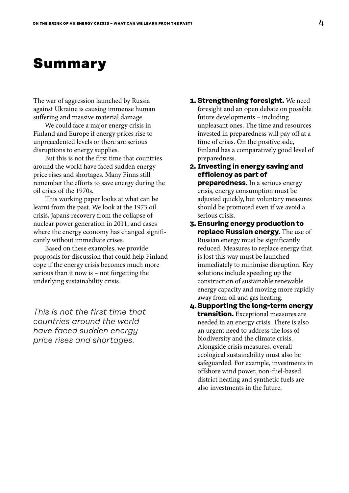# <span id="page-3-0"></span>**Summary**

The war of aggression launched by Russia against Ukraine is causing immense human suffering and massive material damage.

We could face a major energy crisis in Finland and Europe if energy prices rise to unprecedented levels or there are serious disruptions to energy supplies.

But this is not the first time that countries around the world have faced sudden energy price rises and shortages. Many Finns still remember the efforts to save energy during the oil crisis of the 1970s.

This working paper looks at what can be learnt from the past. We look at the 1973 oil crisis, Japan's recovery from the collapse of nuclear power generation in 2011, and cases where the energy economy has changed significantly without immediate crises.

Based on these examples, we provide proposals for discussion that could help Finland cope if the energy crisis becomes much more serious than it now is – not forgetting the underlying sustainability crisis.

*This is not the first time that countries around the world have faced sudden energy price rises and shortages.*

- **1. Strengthening foresight.** We need foresight and an open debate on possible future developments – including unpleasant ones. The time and resources invested in preparedness will pay off at a time of crisis. On the positive side, Finland has a comparatively good level of preparedness.
- **2. Investing in energy saving and efficiency as part of preparedness.** In a serious energy crisis, energy consumption must be adjusted quickly, but voluntary measures should be promoted even if we avoid a serious crisis.
- **3. Ensuring energy production to replace Russian energy.** The use of Russian energy must be significantly reduced. Measures to replace energy that is lost this way must be launched immediately to minimise disruption. Key solutions include speeding up the construction of sustainable renewable energy capacity and moving more rapidly away from oil and gas heating.
- **4.Supporting the long-term energy transition.** Exceptional measures are needed in an energy crisis. There is also an urgent need to address the loss of biodiversity and the climate crisis. Alongside crisis measures, overall ecological sustainability must also be safeguarded. For example, investments in offshore wind power, non-fuel-based district heating and synthetic fuels are also investments in the future.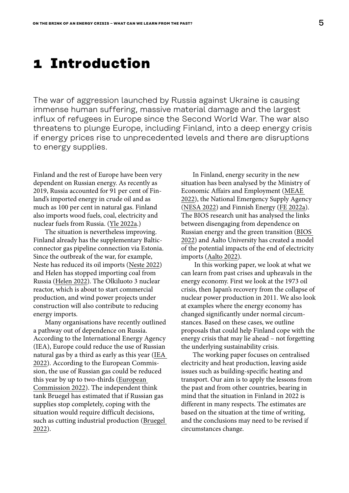## <span id="page-4-0"></span>**1 Introduction**

The war of aggression launched by Russia against Ukraine is causing immense human suffering, massive material damage and the largest influx of refugees in Europe since the Second World War. The war also threatens to plunge Europe, including Finland, into a deep energy crisis if energy prices rise to unprecedented levels and there are disruptions to energy supplies.

Finland and the rest of Europe have been very dependent on Russian energy. As recently as 2019, Russia accounted for 91 per cent of Finland's imported energy in crude oil and as much as 100 per cent in natural gas. Finland also imports wood fuels, coal, electricity and nuclear fuels from Russia. [\(Yle 2022a.](https://yle.fi/uutiset/3-12328857))

The situation is nevertheless improving. Finland already has the supplementary Balticconnector gas pipeline connection via Estonia. Since the outbreak of the war, for example, Neste has reduced its oil imports ([Neste 2022](https://www.neste.com/nestes-response-to-the-war-in-ukraine)) and Helen has stopped importing coal from Russia [\(Helen 2022\)](https://www.helen.fi/en/news/2022/due-to-the-ukrainian-situation-helen-will-for-the-moment-stop-procuring-coal-from-russia). The Olkiluoto 3 nuclear reactor, which is about to start commercial production, and wind power projects under construction will also contribute to reducing energy imports.

Many organisations have recently outlined a pathway out of dependence on Russia. According to the International Energy Agency (IEA), Europe could reduce the use of Russian natural gas by a third as early as this year ([IEA](https://www.iea.org/reports/a-10-point-plan-to-reduce-the-european-unions-reliance-on-russian-natural-gas)  [2022](https://www.iea.org/reports/a-10-point-plan-to-reduce-the-european-unions-reliance-on-russian-natural-gas)). According to the European Commission, the use of Russian gas could be reduced this year by up to two-thirds [\(European](https://energy.ec.europa.eu/system/files/2022-03/REPowerEU_Communication_with_Annexes_EN.pdf)  [Commission 2022\)](https://energy.ec.europa.eu/system/files/2022-03/REPowerEU_Communication_with_Annexes_EN.pdf). The independent think tank Bruegel has estimated that if Russian gas supplies stop completely, coping with the situation would require difficult decisions, such as cutting industrial production [\(Bruegel](https://www.bruegel.org/2022/01/can-europe-survive-painlessly-without-russian-gas/)  [2022](https://www.bruegel.org/2022/01/can-europe-survive-painlessly-without-russian-gas/)).

In Finland, energy security in the new situation has been analysed by the Ministry of Economic Affairs and Employment [\(MEAE](https://tem.fi/en/russian-attack-on-ukraine)  [2022](https://tem.fi/en/russian-attack-on-ukraine)), the National Emergency Supply Agency [\(NESA 2022\)](https://www.huoltovarmuuskeskus.fi/en/a/topical-questions-and-answers-about-security-of-supply) and Finnish Energy ([FE 2022a](https://energia.fi/energiapolitiikka/ukrainan_sota/venajan_merkitys_suomen_energiahuollolle)). The BIOS research unit has analysed the links between disengaging from dependence on Russian energy and the green transition ([BIOS](https://bios.fi/vihrea-siirtyma-ja-irtautuminen-energiariippuvuudesta/)  [2022](https://bios.fi/vihrea-siirtyma-ja-irtautuminen-energiariippuvuudesta/)) and Aalto University has created a model of the potential impacts of the end of electricity imports ([Aalto 2022\)](https://www.aalto.fi/sites/g/files/flghsv161/files/2022-03/Riskianalyysi-%2520Varautuminen%2520energiakriisiin%2520Suomessa%2520Aalto-yliopiston%2520tutkijoiden%2520raportti.pdf).

 In this working paper, we look at what we can learn from past crises and upheavals in the energy economy. First we look at the 1973 oil crisis, then Japan's recovery from the collapse of nuclear power production in 2011. We also look at examples where the energy economy has changed significantly under normal circumstances. Based on these cases, we outline proposals that could help Finland cope with the energy crisis that may lie ahead – not forgetting the underlying sustainability crisis.

The working paper focuses on centralised electricity and heat production, leaving aside issues such as building-specific heating and transport. Our aim is to apply the lessons from the past and from other countries, bearing in mind that the situation in Finland in 2022 is different in many respects. The estimates are based on the situation at the time of writing, and the conclusions may need to be revised if circumstances change.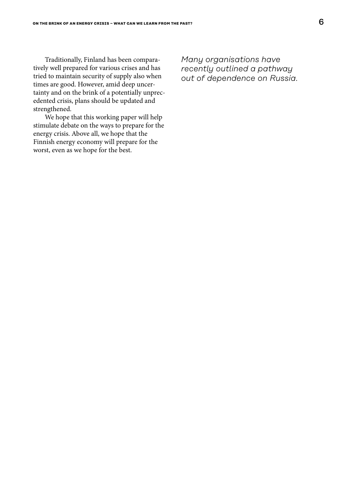Traditionally, Finland has been comparatively well prepared for various crises and has tried to maintain security of supply also when times are good. However, amid deep uncertainty and on the brink of a potentially unprecedented crisis, plans should be updated and strengthened.

We hope that this working paper will help stimulate debate on the ways to prepare for the energy crisis. Above all, we hope that the Finnish energy economy will prepare for the worst, even as we hope for the best.

*Many organisations have recently outlined a pathway out of dependence on Russia.*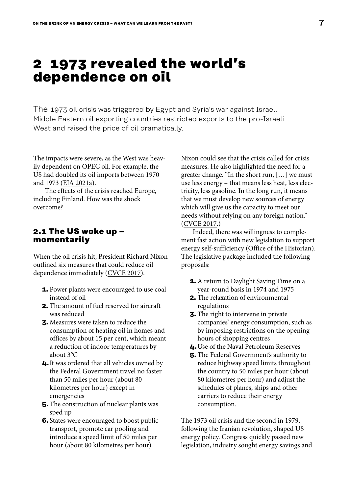### <span id="page-6-0"></span>**2 1973 revealed the world's dependence on oil**

The 1973 oil crisis was triggered by Egypt and Syria's war against Israel. Middle Eastern oil exporting countries restricted exports to the pro-Israeli West and raised the price of oil dramatically.

The impacts were severe, as the West was heavily dependent on OPEC oil. For example, the US had doubled its oil imports between 1970 and 1973 [\(EIA 2021a](https://www.eia.gov/energyexplained/oil-and-petroleum-products/imports-and-exports.php)).

The effects of the crisis reached Europe, including Finland. How was the shock overcome?

#### **2.1 The US woke up – momentarily**

When the oil crisis hit, President Richard Nixon outlined six measures that could reduce oil dependence immediately ([CVCE 2017](https://www.cvce.eu/content/publication/2003/7/3/1158015d-8cf9-4fae-8128-0f1ee8a8d292/publishable_en.pdf)).

- **1.** Power plants were encouraged to use coal instead of oil
- **2.** The amount of fuel reserved for aircraft was reduced
- **3.** Measures were taken to reduce the consumption of heating oil in homes and offices by about 15 per cent, which meant a reduction of indoor temperatures by about 3°C
- **4.**It was ordered that all vehicles owned by the Federal Government travel no faster than 50 miles per hour (about 80 kilometres per hour) except in emergencies
- **5.** The construction of nuclear plants was sped up
- **6.** States were encouraged to boost public transport, promote car pooling and introduce a speed limit of 50 miles per hour (about 80 kilometres per hour).

Nixon could see that the crisis called for crisis measures. He also highlighted the need for a greater change. "In the short run, […] we must use less energy – that means less heat, less electricity, less gasoline. In the long run, it means that we must develop new sources of energy which will give us the capacity to meet our needs without relying on any foreign nation." [\(CVCE 2017.](https://www.cvce.eu/content/publication/2003/7/3/1158015d-8cf9-4fae-8128-0f1ee8a8d292/publishable_en.pdf))

Indeed, there was willingness to complement fast action with new legislation to support energy self-sufficiency [\(Office of the Historian\)](https://history.state.gov/historicaldocuments/frus1969-76v36/d237). The legislative package included the following proposals:

- **1.** A return to Daylight Saving Time on a year-round basis in 1974 and 1975
- **2.** The relaxation of environmental regulations
- **3.** The right to intervene in private companies' energy consumption, such as by imposing restrictions on the opening hours of shopping centres
- **4.**Use of the Naval Petroleum Reserves
- **5.** The Federal Government's authority to reduce highway speed limits throughout the country to 50 miles per hour (about 80 kilometres per hour) and adjust the schedules of planes, ships and other carriers to reduce their energy consumption.

The 1973 oil crisis and the second in 1979, following the Iranian revolution, shaped US energy policy. Congress quickly passed new legislation, industry sought energy savings and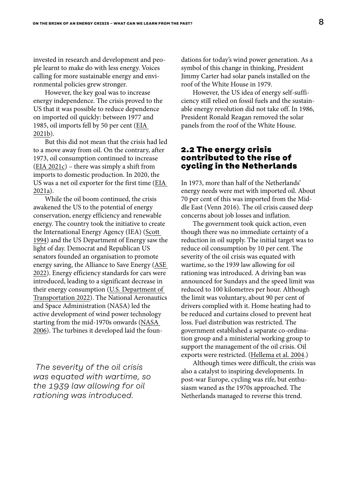<span id="page-7-0"></span>invested in research and development and people learnt to make do with less energy. Voices calling for more sustainable energy and environmental policies grew stronger.

However, the key goal was to increase energy independence. The crisis proved to the US that it was possible to reduce dependence on imported oil quickly: between 1977 and 1985, oil imports fell by 50 per cent [\(EIA](https://www.eia.gov/energyexplained/us-energy-facts/imports-and-exports.php)  [2021b\)](https://www.eia.gov/energyexplained/us-energy-facts/imports-and-exports.php).

But this did not mean that the crisis had led to a move away from oil. On the contrary, after 1973, oil consumption continued to increase ([EIA 2021c](https://www.eia.gov/totalenergy/data/annual/showtext.php?t=ptb0103)) – there was simply a shift from imports to domestic production. In 2020, the US was a net oil exporter for the first time [\(EIA](https://www.eia.gov/energyexplained/oil-and-petroleum-products/imports-and-exports.php)  [2021a](https://www.eia.gov/energyexplained/oil-and-petroleum-products/imports-and-exports.php)).

While the oil boom continued, the crisis awakened the US to the potential of energy conservation, energy efficiency and renewable energy. The country took the initiative to create the International Energy Agency (IEA) [\(Scott](https://iea.blob.core.windows.net/assets/b73b0800-ed54-48ba-bf16-cc6820b723a3/1ieahistory.pdf)  [1994\)](https://iea.blob.core.windows.net/assets/b73b0800-ed54-48ba-bf16-cc6820b723a3/1ieahistory.pdf) and the US Department of Energy saw the light of day. Democrat and Republican US senators founded an organisation to promote energy saving, the Alliance to Save Energy [\(ASE](https://www.ase.org/about)  [2022\)](https://www.ase.org/about). Energy efficiency standards for cars were introduced, leading to a significant decrease in their energy consumption ([U.S. Department of](https://www.transportation.gov/mission/sustainability/corporate-average-fuel-economy-cafe-standards)  [Transportation 2022\)](https://www.transportation.gov/mission/sustainability/corporate-average-fuel-economy-cafe-standards). The National Aeronautics and Space Administration (NASA) led the active development of wind power technology starting from the mid-1970s onwards [\(NASA](https://www.nasa.gov/vision/earth/technologies/wind_turbines.html)  [2006\)](https://www.nasa.gov/vision/earth/technologies/wind_turbines.html). The turbines it developed laid the foun-

 *The severity of the oil crisis was equated with wartime, so the 1939 law allowing for oil rationing was introduced.*

dations for today's wind power generation. As a symbol of this change in thinking, President Jimmy Carter had solar panels installed on the roof of the White House in 1979.

However, the US idea of energy self-sufficiency still relied on fossil fuels and the sustainable energy revolution did not take off. In 1986, President Ronald Reagan removed the solar panels from the roof of the White House.

#### **2.2 The energy crisis contributed to the rise of cycling in the Netherlands**

In 1973, more than half of the Netherlands' energy needs were met with imported oil. About 70 per cent of this was imported from the Middle East (Venn 2016). The oil crisis caused deep concerns about job losses and inflation.

The government took quick action, even though there was no immediate certainty of a reduction in oil supply. The initial target was to reduce oil consumption by 10 per cent. The severity of the oil crisis was equated with wartime, so the 1939 law allowing for oil rationing was introduced. A driving ban was announced for Sundays and the speed limit was reduced to 100 kilometres per hour. Although the limit was voluntary, about 90 per cent of drivers complied with it. Home heating had to be reduced and curtains closed to prevent heat loss. Fuel distribution was restricted. The government established a separate co-ordination group and a ministerial working group to support the management of the oil crisis. Oil exports were restricted. ([Hellema et al. 2004](https://www.jstor.org/stable/j.ctt46mzm8).)

Although times were difficult, the crisis was also a catalyst to inspiring developments. In post-war Europe, cycling was rife, but enthusiasm waned as the 1970s approached. The Netherlands managed to reverse this trend.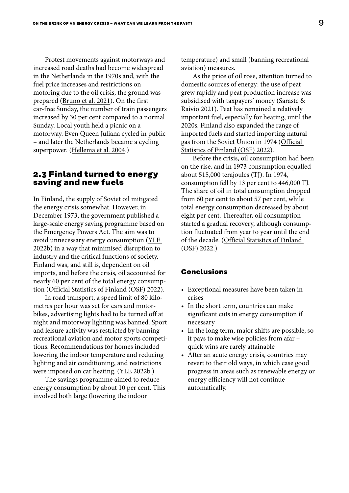<span id="page-8-0"></span>Protest movements against motorways and increased road deaths had become widespread in the Netherlands in the 1970s and, with the fuel price increases and restrictions on motoring due to the oil crisis, the ground was prepared [\(Bruno et al. 2021\)](https://www.sciencedirect.com/science/article/pii/S2210422421000769). On the first car-free Sunday, the number of train passengers increased by 30 per cent compared to a normal Sunday. Local youth held a picnic on a motorway. Even Queen Juliana cycled in public – and later the Netherlands became a cycling superpower. [\(Hellema et al. 2004](https://www.jstor.org/stable/j.ctt46mzm8).)

#### **2.3 Finland turned to energy saving and new fuels**

In Finland, the supply of Soviet oil mitigated the energy crisis somewhat. However, in December 1973, the government published a large-scale energy saving programme based on the Emergency Powers Act. The aim was to avoid unnecessary energy consumption ([YLE](https://yle.fi/aihe/artikkeli/2006/09/08/energiakriisi-vuonna-1973)  [2022b\)](https://yle.fi/aihe/artikkeli/2006/09/08/energiakriisi-vuonna-1973) in a way that minimised disruption to industry and the critical functions of society. Finland was, and still is, dependent on oil imports, and before the crisis, oil accounted for nearly 60 per cent of the total energy consumption [\(Official Statistics of Finland \(OSF\) 2022\)](https://www.stat.fi/til/ehk/tau_en.html).

In road transport, a speed limit of 80 kilometres per hour was set for cars and motorbikes, advertising lights had to be turned off at night and motorway lighting was banned. Sport and leisure activity was restricted by banning recreational aviation and motor sports competitions. Recommendations for homes included lowering the indoor temperature and reducing lighting and air conditioning, and restrictions were imposed on car heating. [\(YLE 2022b](https://yle.fi/aihe/artikkeli/2006/09/08/energiakriisi-vuonna-1973).)

The savings programme aimed to reduce energy consumption by about 10 per cent. This involved both large (lowering the indoor

temperature) and small (banning recreational aviation) measures.

As the price of oil rose, attention turned to domestic sources of energy: the use of peat grew rapidly and peat production increase was subsidised with taxpayers' money (Saraste & Raivio 2021). Peat has remained a relatively important fuel, especially for heating, until the 2020s. Finland also expanded the range of imported fuels and started importing natural gas from the Soviet Union in 1974 [\(Official](https://www.stat.fi/til/ehk/tau_en.html)  [Statistics of Finland \(OSF\) 2022\)](https://www.stat.fi/til/ehk/tau_en.html).

Before the crisis, oil consumption had been on the rise, and in 1973 consumption equalled about 515,000 terajoules (TJ). In 1974, consumption fell by 13 per cent to 446,000 TJ. The share of oil in total consumption dropped from 60 per cent to about 57 per cent, while total energy consumption decreased by about eight per cent. Thereafter, oil consumption started a gradual recovery, although consumption fluctuated from year to year until the end of the decade. ([Official Statistics of Finland](https://www.stat.fi/til/ehk/tau_en.html)  [\(OSF\) 2022.](https://www.stat.fi/til/ehk/tau_en.html))

#### **Conclusions**

- Exceptional measures have been taken in crises
- In the short term, countries can make significant cuts in energy consumption if necessary
- In the long term, major shifts are possible, so it pays to make wise policies from afar – quick wins are rarely attainable
- After an acute energy crisis, countries may revert to their old ways, in which case good progress in areas such as renewable energy or energy efficiency will not continue automatically.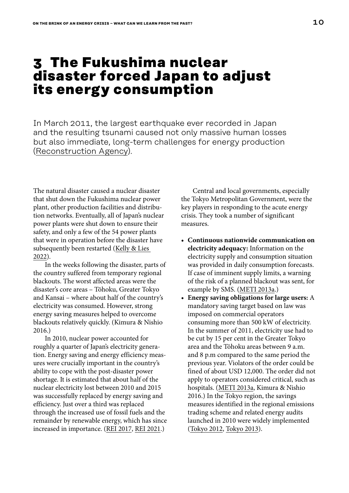# <span id="page-9-0"></span>**3 The Fukushima nuclear disaster forced Japan to adjust its energy consumption**

In March 2011, the largest earthquake ever recorded in Japan and the resulting tsunami caused not only massive human losses but also immediate, long-term challenges for energy production [\(Reconstruction Agency\)](https://www.reconstruction.go.jp/english/topics/GEJE/index.html).

The natural disaster caused a nuclear disaster that shut down the Fukushima nuclear power plant, other production facilities and distribution networks. Eventually, all of Japan's nuclear power plants were shut down to ensure their safety, and only a few of the 54 power plants that were in operation before the disaster have subsequently been restarted ([Kelly & Lies](https://www.japantimes.co.jp/news/2022/03/08/national/restart-nuclear-reactors-ldp-lawmaker/)  [2022\)](https://www.japantimes.co.jp/news/2022/03/08/national/restart-nuclear-reactors-ldp-lawmaker/).

In the weeks following the disaster, parts of the country suffered from temporary regional blackouts. The worst affected areas were the disaster's core areas – Tōhoku, Greater Tokyo and Kansai – where about half of the country's electricity was consumed. However, strong energy saving measures helped to overcome blackouts relatively quickly. (Kimura & Nishio 2016.)

In 2010, nuclear power accounted for roughly a quarter of Japan's electricity generation. Energy saving and energy efficiency measures were crucially important in the country's ability to cope with the post-disaster power shortage. It is estimated that about half of the nuclear electricity lost between 2010 and 2015 was successfully replaced by energy saving and efficiency. Just over a third was replaced through the increased use of fossil fuels and the remainder by renewable energy, which has since increased in importance. [\(REI 2017,](https://www.renewable-ei.org/en/column/column_20170308.php) [REI 2021.](https://www.renewable-ei.org/en/activities/column/REupdate/20210308_3.php))

Central and local governments, especially the Tokyo Metropolitan Government, were the key players in responding to the acute energy crisis. They took a number of significant measures.

- **• Continuous nationwide communication on electricity adequacy:** Information on the electricity supply and consumption situation was provided in daily consumption forecasts. If case of imminent supply limits, a warning of the risk of a planned blackout was sent, for example by SMS. ([METI 2013a.](https://eneken.ieej.or.jp/data/4746.pdf))
- **• Energy saving obligations for large users:** A mandatory saving target based on law was imposed on commercial operators consuming more than 500 kW of electricity. In the summer of 2011, electricity use had to be cut by 15 per cent in the Greater Tokyo area and the Tōhoku areas between 9 a.m. and 8 p.m compared to the same period the previous year. Violators of the order could be fined of about USD 12,000. The order did not apply to operators considered critical, such as hospitals. [\(METI 2013](https://eneken.ieej.or.jp/data/4746.pdf)a, Kimura & Nishio 2016.) In the Tokyo region, the savings measures identified in the regional emissions trading scheme and related energy audits launched in 2010 were widely implemented [\(Tokyo 2012,](https://www.cas.go.jp/jp/seisaku/npu/policy09/pdf/20120426/shiryo3.pdf) [Tokyo 2013\)](https://www.kankyo.metro.tokyo.lg.jp/en/climate/cap_and_trade/index.files/kankyo4749.pdf).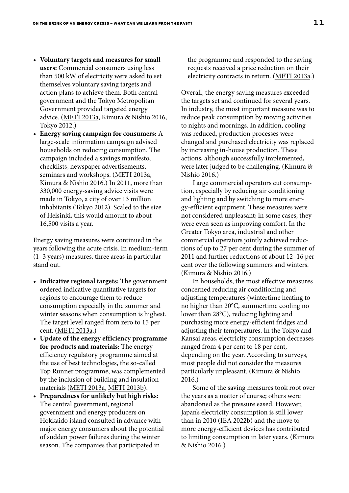- **• Voluntary targets and measures for small users:** Commercial consumers using less than 500 kW of electricity were asked to set themselves voluntary saving targets and action plans to achieve them. Both central government and the Tokyo Metropolitan Government provided targeted energy advice. [\(METI 2013a](https://eneken.ieej.or.jp/data/4746.pdf), Kimura & Nishio 2016, [Tokyo 2012](https://www.cas.go.jp/jp/seisaku/npu/policy09/pdf/20120426/shiryo3.pdf).)
- **• Energy saving campaign for consumers:** A large-scale information campaign advised households on reducing consumption. The campaign included a savings manifesto, checklists, newspaper advertisements, seminars and workshops. [\(METI 2013a](https://eneken.ieej.or.jp/data/4746.pdf), Kimura & Nishio 2016.) In 2011, more than 330,000 energy-saving advice visits were made in Tokyo, a city of over 13 million inhabitants ([Tokyo 2012](https://www.cas.go.jp/jp/seisaku/npu/policy09/pdf/20120426/shiryo3.pdf)). Scaled to the size of Helsinki, this would amount to about 16,500 visits a year.

Energy saving measures were continued in the years following the acute crisis. In medium-term (1–3 years) measures, three areas in particular stand out.

- **• Indicative regional targets:** The government ordered indicative quantitative targets for regions to encourage them to reduce consumption especially in the summer and winter seasons when consumption is highest. The target level ranged from zero to 15 per cent. ([METI 2013a.](https://eneken.ieej.or.jp/data/4746.pdf))
- **• Update of the energy efficiency programme for products and materials:** The energy efficiency regulatory programme aimed at the use of best technologies, the so-called Top Runner programme, was complemented by the inclusion of building and insulation materials ([METI 2013a,](https://eneken.ieej.or.jp/data/4746.pdf) [METI 2013b](https://www.eu-japan.eu/sites/eu-japan.eu/files/Nakamura_0.pdf)).
- **• Preparedness for unlikely but high risks:** The central government, regional government and energy producers on Hokkaido island consulted in advance with major energy consumers about the potential of sudden power failures during the winter season. The companies that participated in

the programme and responded to the saving requests received a price reduction on their electricity contracts in return. ([METI 2013a.](https://eneken.ieej.or.jp/data/4746.pdf))

Overall, the energy saving measures exceeded the targets set and continued for several years. In industry, the most important measure was to reduce peak consumption by moving activities to nights and mornings. In addition, cooling was reduced, production processes were changed and purchased electricity was replaced by increasing in-house production. These actions, although successfully implemented, were later judged to be challenging. (Kimura & Nishio 2016.)

Large commercial operators cut consumption, especially by reducing air conditioning and lighting and by switching to more energy-efficient equipment. These measures were not considered unpleasant; in some cases, they were even seen as improving comfort. In the Greater Tokyo area, industrial and other commercial operators jointly achieved reductions of up to 27 per cent during the summer of 2011 and further reductions of about 12–16 per cent over the following summers and winters. (Kimura & Nishio 2016.)

In households, the most effective measures concerned reducing air conditioning and adjusting temperatures (wintertime heating to no higher than 20°C, summertime cooling no lower than 28°C), reducing lighting and purchasing more energy-efficient fridges and adjusting their temperatures. In the Tokyo and Kansai areas, electricity consumption decreases ranged from 4 per cent to 18 per cent, depending on the year. According to surveys, most people did not consider the measures particularly unpleasant. (Kimura & Nishio 2016.)

Some of the saving measures took root over the years as a matter of course; others were abandoned as the pressure eased. However, Japan's electricity consumption is still lower than in 2010 ([IEA 2022b](https://www.iea.org/countries/japan)) and the move to more energy-efficient devices has contributed to limiting consumption in later years. (Kimura & Nishio 2016.)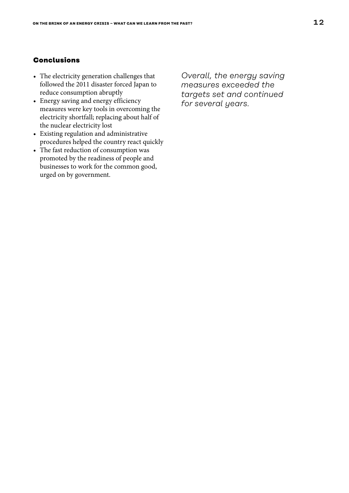#### **Conclusions**

- The electricity generation challenges that followed the 2011 disaster forced Japan to reduce consumption abruptly
- Energy saving and energy efficiency measures were key tools in overcoming the electricity shortfall; replacing about half of the nuclear electricity lost
- Existing regulation and administrative procedures helped the country react quickly
- The fast reduction of consumption was promoted by the readiness of people and businesses to work for the common good, urged on by government.

*Overall, the energy saving measures exceeded the targets set and continued for several years.*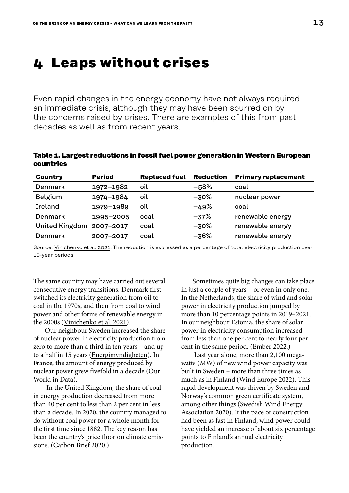## <span id="page-12-0"></span>**4 Leaps without crises**

Even rapid changes in the energy economy have not always required an immediate crisis, although they may have been spurred on by the concerns raised by crises. There are examples of this from past decades as well as from recent years.

#### **Table 1. Largest reductions in fossil fuel power generation in Western European countries**

| <b>Country</b>           | <b>Period</b> | <b>Replaced fuel</b> | <b>Reduction</b> | <b>Primary replacement</b> |
|--------------------------|---------------|----------------------|------------------|----------------------------|
| <b>Denmark</b>           | 1972-1982     | oil                  | $-58%$           | coal                       |
| <b>Belgium</b>           | 1974-1984     | oil                  | $-30%$           | nuclear power              |
| Ireland                  | 1979-1989     | oil                  | $-49%$           | coal                       |
| Denmark                  | 1995-2005     | coal                 | $-37%$           | renewable energy           |
| United Kingdom 2007-2017 |               | coal                 | $-30%$           | renewable energy           |
| <b>Denmark</b>           | 2007-2017     | coal                 | $-36%$           | renewable energy           |

Source: [Vinichenko et al. 2021](https://www.cell.com/action/showPdf?pii=S2590-3322%252821%252900534-0). The reduction is expressed as a percentage of total electricity production over 10-year periods.

The same country may have carried out several consecutive energy transitions. Denmark first switched its electricity generation from oil to coal in the 1970s, and then from coal to wind power and other forms of renewable energy in the 2000s ([Vinichenko et al. 2021\)](https://www.cell.com/action/showPdf?pii=S2590-3322%252821%252900534-0).

Our neighbour Sweden increased the share of nuclear power in electricity production from zero to more than a third in ten years – and up to a half in 15 years [\(Energimyndigheten\)](https://pxexternal.energimyndigheten.se/pxweb/sv/%25c3%2585rlig%2520energibalans/%25c3%2585rlig%2520energibalans__El-%2520och%2520fj%25c3%25a4rrv%25c3%25a4rmeproduktion/EN0202_25.px/table/tableViewLayout2/?loadedQueryId=17d13f92-2720-46c9-9727-463aa7d01cfa&timeType=from&timeValue=0-). In France, the amount of energy produced by nuclear power grew fivefold in a decade [\(Our](https://ourworldindata.org/energy/country/france)  [World in Data](https://ourworldindata.org/energy/country/france)).

 In the United Kingdom, the share of coal in energy production decreased from more than 40 per cent to less than 2 per cent in less than a decade. In 2020, the country managed to do without coal power for a whole month for the first time since 1882. The key reason has been the country's price floor on climate emissions. ([Carbon Brief 2020](https://www.carbonbrief.org/analysis-great-britain-hits-coal-free-electricity-record-amid-coronavirus-lockdown).)

Sometimes quite big changes can take place in just a couple of years – or even in only one. In the Netherlands, the share of wind and solar power in electricity production jumped by more than 10 percentage points in 2019–2021. In our neighbour Estonia, the share of solar power in electricity consumption increased from less than one per cent to nearly four per cent in the same period. ([Ember 2022.](https://ember-climate.org/app/uploads/2022/02/Report-EER.pdf))

 Last year alone, more than 2,100 megawatts (MW) of new wind power capacity was built in Sweden – more than three times as much as in Finland [\(Wind Europe 2022\)](https://proceedings.windeurope.org/biplatform/rails/active_storage/blobs/eyJfcmFpbHMiOnsibWVzc2FnZSI6IkJBaHBBbFFEIiwiZXhwIjpudWxsLCJwdXIiOiJibG9iX2lkIn19--f507a22c9854863e01fd427239f10167d031cc66/Windeurope-Wind-energy-in-Europe-2021-statistics.pdf). This rapid development was driven by Sweden and Norway's common green certificate system, among other things ([Swedish Wind Energy](https://swedishwindenergy.com/press-releases/swedish-government-propose-effectless-stop-mechanism-in-the-electricity-certificate-system)  [Association 2020\)](https://swedishwindenergy.com/press-releases/swedish-government-propose-effectless-stop-mechanism-in-the-electricity-certificate-system). If the pace of construction had been as fast in Finland, wind power could have yielded an increase of about six percentage points to Finland's annual electricity production.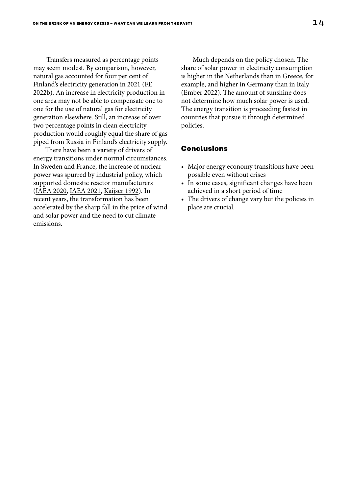Transfers measured as percentage points may seem modest. By comparison, however, natural gas accounted for four per cent of Finland's electricity generation in 2021 (FE 2022b). An increase in electricity production in one area may not be able to compensate one to one for the use of natural gas for electricity generation elsewhere. Still, an increase of over two percentage points in clean electricity production would roughly equal the share of gas piped from Russia in Finland's electricity supply.

There have been a variety of drivers of energy transitions under normal circumstances. In Sweden and France, the increase of nuclear power was spurred by industrial policy, which supported domestic reactor manufacturers ([IAEA 2020,](https://cnpp.iaea.org/countryprofiles/France/France.htm) [IAEA 2021,](https://cnpp.iaea.org/countryprofiles/Sweden/Sweden.htm) [Kaijser 1992](https://www.annualreviews.org/doi/pdf/10.1146/annurev.eg.17.110192.002253)). In recent years, the transformation has been accelerated by the sharp fall in the price of wind and solar power and the need to cut climate emissions.

Much depends on the policy chosen. The share of solar power in electricity consumption is higher in the Netherlands than in Greece, for example, and higher in Germany than in Italy [\(Ember 2022](https://ember-climate.org/app/uploads/2022/02/Report-EER.pdf)). The amount of sunshine does not determine how much solar power is used. The energy transition is proceeding fastest in countries that pursue it through determined policies.

#### **Conclusions**

- Major energy economy transitions have been possible even without crises
- In some cases, significant changes have been achieved in a short period of time
- The drivers of change vary but the policies in place are crucial.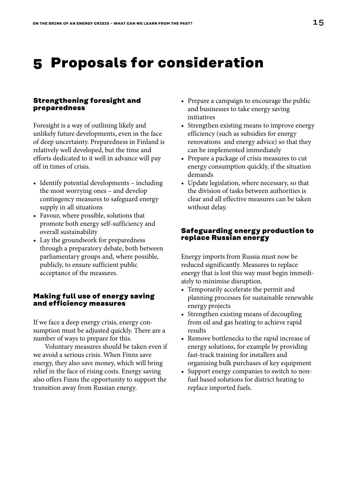# <span id="page-14-0"></span>**5 Proposals for consideration**

#### **Strengthening foresight and preparedness**

Foresight is a way of outlining likely and unlikely future developments, even in the face of deep uncertainty. Preparedness in Finland is relatively well developed, but the time and efforts dedicated to it well in advance will pay off in times of crisis.

- Identify potential developments including the most worrying ones – and develop contingency measures to safeguard energy supply in all situations
- Favour, where possible, solutions that promote both energy self-sufficiency and overall sustainability
- Lay the groundwork for preparedness through a preparatory debate, both between parliamentary groups and, where possible, publicly, to ensure sufficient public acceptance of the measures.

#### **Making full use of energy saving and efficiency measures**

If we face a deep energy crisis, energy consumption must be adjusted quickly. There are a number of ways to prepare for this.

Voluntary measures should be taken even if we avoid a serious crisis. When Finns save energy, they also save money, which will bring relief in the face of rising costs. Energy saving also offers Finns the opportunity to support the transition away from Russian energy.

- Prepare a campaign to encourage the public and businesses to take energy saving initiatives
- Strengthen existing means to improve energy efficiency (such as subsidies for energy renovations and energy advice) so that they can be implemented immediately
- Prepare a package of crisis measures to cut energy consumption quickly, if the situation demands
- Update legislation, where necessary, so that the division of tasks between authorities is clear and all effective measures can be taken without delay.

#### **Safeguarding energy production to replace Russian energy**

Energy imports from Russia must now be reduced significantly. Measures to replace energy that is lost this way must begin immediately to minimise disruption.

- Temporarily accelerate the permit and planning processes for sustainable renewable energy projects
- Strengthen existing means of decoupling from oil and gas heating to achieve rapid results
- Remove bottlenecks to the rapid increase of energy solutions, for example by providing fast-track training for installers and organising bulk purchases of key equipment
- Support energy companies to switch to nonfuel based solutions for district heating to replace imported fuels.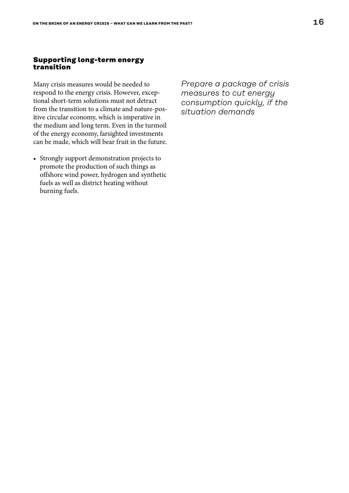#### **Supporting long-term energy transition**

Many crisis measures would be needed to respond to the energy crisis. However, exceptional short-term solutions must not detract from the transition to a climate and nature-positive circular economy, which is imperative in the medium and long term. Even in the turmoil of the energy economy, farsighted investments can be made, which will bear fruit in the future.

• Strongly support demonstration projects to promote the production of such things as offshore wind power, hydrogen and synthetic fuels as well as district heating without burning fuels.

*Prepare a package of crisis measures to cut energy consumption quickly, if the situation demands*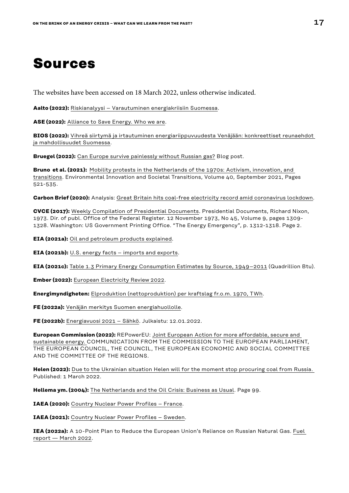# <span id="page-16-0"></span>**Sources**

The websites have been accessed on 18 March 2022, unless otherwise indicated.

**Aalto (2022):** [Riskianalyysi – Varautuminen energiakriisiin Suomessa.](https://www.aalto.fi/sites/g/files/flghsv161/files/2022-03/Riskianalyysi-%20Varautuminen%20energiakriisiin%20Suomessa%20Aalto-yliopiston%20tutkijoiden%20raportti.pdf)

**ASE (2022):** [Alliance to Save Energy. Who we are.](https://www.ase.org/about)

**BIOS (2022):** [Vihreä siirtymä ja irtautuminen energiariippuvuudesta Venäjään: konkreettiset reunaehdot](https://bios.fi/vihrea-siirtyma-ja-irtautuminen-energiariippuvuudesta/)  [ja mahdollisuudet Suomessa](https://bios.fi/vihrea-siirtyma-ja-irtautuminen-energiariippuvuudesta/).

**Bruegel (2022):** [Can Europe survive painlessly without Russian gas?](https://www.bruegel.org/2022/01/can-europe-survive-painlessly-without-russian-gas/) Blog post.

**Bruno et al. (2021):** [Mobility protests in the Netherlands of the 1970s: Activism, innovation, and](https://www.sciencedirect.com/science/article/pii/S2210422421000769)  [transitions](https://www.sciencedirect.com/science/article/pii/S2210422421000769). Environmental Innovation and Societal Transitions, Volume 40, September 2021, Pages 521-535.

**Carbon Brief (2020):** Analysis: [Great Britain hits coal-free electricity record amid coronavirus lockdown](https://www.carbonbrief.org/analysis-great-britain-hits-coal-free-electricity-record-amid-coronavirus-lockdown).

**CVCE (2017):** [Weekly Compilation of Presidential Documents.](https://www.cvce.eu/content/publication/2003/7/3/1158015d-8cf9-4fae-8128-0f1ee8a8d292/publishable_en.pdf) Presidential Documents, Richard Nixon, 1973. Dir. of publ. Office of the Federal Register. 12 November 1973, No 45, Volume 9, pages 1309- 1328. Washington: US Government Printing Office. "The Energy Emergency", p. 1312-1318. Page 2.

**EIA (2021a):** [Oil and petroleum products explained.](https://www.eia.gov/energyexplained/oil-and-petroleum-products/imports-and-exports.php)

**EIA (2021b):** [U.S. energy facts – imports and exports.](https://www.eia.gov/energyexplained/us-energy-facts/imports-and-exports.php)

**EIA (2021c):** [Table 1.3 Primary Energy Consumption Estimates by Source, 1949–2011](https://www.eia.gov/totalenergy/data/annual/showtext.php?t=ptb0103) (Quadrillion Btu).

**Ember (2022):** [European Electricity Review 2022.](https://ember-climate.org/app/uploads/2022/02/Report-EER.pdf)

**Energimyndigheten:** [Elproduktion \(nettoproduktion\) per kraftslag fr.o.m. 1970, TWh](https://pxexternal.energimyndigheten.se/pxweb/sv/%c3%85rlig%20energibalans/%c3%85rlig%20energibalans__El-%20och%20fj%c3%a4rrv%c3%a4rmeproduktion/EN0202_25.px/).

**FE (2022a):** [Venäjän merkitys Suomen energiahuollolle.](https://energia.fi/energiapolitiikka/ukrainan_sota/venajan_merkitys_suomen_energiahuollolle)

**FE (2022b):** [Energiavuosi 2021 – Sähkö](https://energia.fi/uutishuone/materiaalipankki/energiavuosi_2021_-_sahko.html#material-view). Julkaistu: 12.01.2022.

**European Commission (2022):** REPowerEU: [Joint European Action for more affordable, secure and](https://energy.ec.europa.eu/system/files/2022-03/REPowerEU_Communication_with_Annexes_EN.pdf)  [sustainable energy.](https://energy.ec.europa.eu/system/files/2022-03/REPowerEU_Communication_with_Annexes_EN.pdf) COMMUNICATION FROM THE COMMISSION TO THE EUROPEAN PARLIAMENT, THE EUROPEAN COUNCIL, THE COUNCIL, THE EUROPEAN ECONOMIC AND SOCIAL COMMITTEE AND THE COMMITTEE OF THE REGIONS.

**Helen (2022):** [Due to the Ukrainian situation Helen will for the moment stop procuring coal from Russia.](https://www.helen.fi/en/news/2022/due-to-the-ukrainian-situation-helen-will-for-the-moment-stop-procuring-coal-from-russia)  Published: 1 March 2022.

**Hellema ym. (2004):** [The Netherlands and the Oil Crisis: Business as Usual.](https://www.jstor.org/stable/j.ctt46mzm8) Page 99.

**IAEA (2020):** [Country Nuclear Power Profiles – France](https://cnpp.iaea.org/countryprofiles/France/France.htm).

**IAEA (2021):** [Country Nuclear Power Profiles – Sweden](https://cnpp.iaea.org/countryprofiles/Sweden/Sweden.htm).

**IEA (2022a):** A 10-Point Plan to Reduce the European Union's Reliance on Russian Natural Gas. [Fuel](https://www.iea.org/reports/a-10-point-plan-to-reduce-the-european-unions-reliance-on-russian-natural-gas)  [report — March 2022](https://www.iea.org/reports/a-10-point-plan-to-reduce-the-european-unions-reliance-on-russian-natural-gas).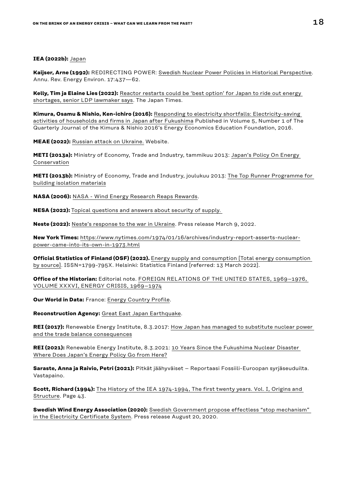#### **IEA (2022b):** [Japan](https://www.iea.org/countries/japan)

**Kaijser, Arne (1992):** REDIRECTING POWER: [Swedish Nuclear Power Policies in Historical Perspective](https://www.annualreviews.org/doi/pdf/10.1146/annurev.eg.17.110192.002253). Annu. Rev. Energy Environ. 17:437—62.

**Kelly, Tim ja Elaine Lies (2022):** [Reactor restarts could be 'best option' for Japan to ride out energy](https://www.japantimes.co.jp/news/2022/03/08/national/restart-nuclear-reactors-ldp-lawmaker/)  [shortages, senior LDP lawmaker says](https://www.japantimes.co.jp/news/2022/03/08/national/restart-nuclear-reactors-ldp-lawmaker/). The Japan Times.

**Kimura, Osamu & Nishio, Ken-ichiro (2016):** [Responding to electricity shortfalls: Electricity-saving](http://www.iaee.org/en/publications/eeeparticle.aspx?id=104)  [activities of households and firms in Japan after Fukushima](http://www.iaee.org/en/publications/eeeparticle.aspx?id=104) Published in Volume 5, Number 1 of The Quarterly Journal of the Kimura & Nishio 2016's Energy Economics Education Foundation, 2016.

**MEAE (2022):** [Russian attack on Ukraine.](https://tem.fi/en/russian-attack-on-ukraine) Website.

**METI (2013a):** Ministry of Economy, Trade and Industry, tammikuu 2013: [Japan's Policy On Energy](https://eneken.ieej.or.jp/data/4746.pdf)  [Conservation](https://eneken.ieej.or.jp/data/4746.pdf)

**METI (2013b):** Ministry of Economy, Trade and Industry, joulukuu 2013: [The Top Runner Programme for](https://www.eu-japan.eu/sites/eu-japan.eu/files/Nakamura_0.pdf)  [building isolation materials](https://www.eu-japan.eu/sites/eu-japan.eu/files/Nakamura_0.pdf)

**NASA (2006):** [NASA - Wind Energy Research Reaps Rewards](https://www.nasa.gov/vision/earth/technologies/wind_turbines.html).

**NESA (2022):** [Topical questions and answers about security of supply.](https://www.huoltovarmuuskeskus.fi/en/a/topical-questions-and-answers-about-security-of-supply) 

**Neste (2022):** [Neste's response to the war in Ukraine.](https://www.neste.com/nestes-response-to-the-war-in-ukraine) Press release March 9, 2022.

**New York Times:** [https://www.nytimes.com/1974/01/16/archives/industry-report-asserts-nuclear](https://www.nytimes.com/1974/01/16/archives/industry-report-asserts-nuclear-power-came-into-its-own-in-1973.html)[power-came-into-its-own-in-1973.html](https://www.nytimes.com/1974/01/16/archives/industry-report-asserts-nuclear-power-came-into-its-own-in-1973.html)

**Official Statistics of Finland (OSF) (2022).** [Energy supply and consumption \[Total energy consumption](https://www.stat.fi/til/ehk/tau_en.html)  [by source\]](https://www.stat.fi/til/ehk/tau_en.html). ISSN=1799-795X. Helsinki: Statistics Finland [referred: 13 March 2022].

**Office of the Historian:** Editorial note. [FOREIGN RELATIONS OF THE UNITED STATES, 1969–1976,](https://history.state.gov/historicaldocuments/frus1969-76v36/d237)  [VOLUME XXXVI, ENERGY CRISIS, 1969–1974](https://history.state.gov/historicaldocuments/frus1969-76v36/d237)

**Our World in Data:** France: [Energy Country Profile.](https://ourworldindata.org/energy/country/france)

**Reconstruction Agency:** [Great East Japan Earthquake.](https://www.reconstruction.go.jp/english/topics/GEJE/index.html)

**REI (2017):** Renewable Energy Institute, 8.3.2017: [How Japan has managed to substitute nuclear power](https://www.renewable-ei.org/en/column/column_20170308.php)  [and the trade balance consequences](https://www.renewable-ei.org/en/column/column_20170308.php)

**REI (2021):** Renewable Energy Institute, 8.3.2021: [10 Years Since the Fukushima Nuclear Disaster](https://www.renewable-ei.org/en/activities/column/REupdate/20210308_3.php)  [Where Does Japan's Energy Policy Go from Here?](https://www.renewable-ei.org/en/activities/column/REupdate/20210308_3.php)

**Saraste, Anna ja Raivio, Petri (2021):** Pitkät jäähyväiset – Reportaasi Fossiili-Euroopan syrjäseuduilta. Vastapaino.

**Scott, Richard (1994):** [The History of the IEA 1974-1994, The first twenty years. Vol. I, Origins and](https://iea.blob.core.windows.net/assets/b73b0800-ed54-48ba-bf16-cc6820b723a3/1ieahistory.pdf)  [Structure](https://iea.blob.core.windows.net/assets/b73b0800-ed54-48ba-bf16-cc6820b723a3/1ieahistory.pdf). Page 43.

**Swedish Wind Energy Association (2020):** [Swedish Government propose effectless "stop mechanism"](https://swedishwindenergy.com/press-releases/swedish-government-propose-effectless-stop-mechanism-in-the-electricity-certificate-system)  [in the Electricity Certificate System.](https://swedishwindenergy.com/press-releases/swedish-government-propose-effectless-stop-mechanism-in-the-electricity-certificate-system) Press release August 20, 2020.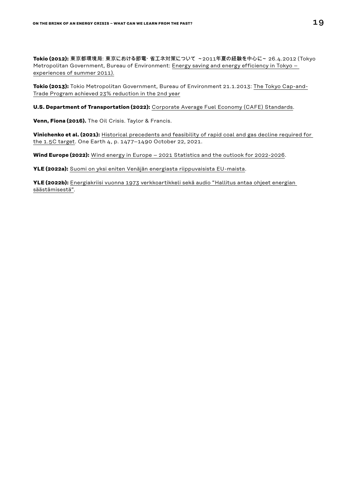**Tokio (2012):** 東京都環境局:東京における節電・省エネ対策について ~2011年夏の経験を中心に~ 26.4.2012 (Tokyo Metropolitan Government, Bureau of Environment: Energy saving and energy efficiency in Tokyo [experiences of summer 2011](https://www.cas.go.jp/jp/seisaku/npu/policy09/pdf/20120426/shiryo3.pdf)).

**Tokio (2013):** Tokio Metropolitan Government, Bureau of Environment 21.1.2013: [The Tokyo Cap-and-](https://www.kankyo.metro.tokyo.lg.jp/en/climate/cap_and_trade/index.files/kankyo4749.pdf)[Trade Program achieved 23% reduction in the 2nd year](https://www.kankyo.metro.tokyo.lg.jp/en/climate/cap_and_trade/index.files/kankyo4749.pdf)

**U.S. Department of Transportation (2022):** [Corporate Average Fuel Economy \(CAFE\) Standards.](https://www.transportation.gov/mission/sustainability/corporate-average-fuel-economy-cafe-standards)

**Venn, Fiona (2016).** The Oil Crisis. Taylor & Francis.

**Vinichenko et al. (2021):** [Historical precedents and feasibility of rapid coal and gas decline required for](https://doi.org/10.1016/j.oneear.2021.09.012)  [the 1.5C target.](https://doi.org/10.1016/j.oneear.2021.09.012) One Earth 4, p. 1477–1490 October 22, 2021.

**Wind Europe (2022):** [Wind energy in Europe – 2021 Statistics and the outlook for 2022-2026](https://proceedings.windeurope.org/biplatform/rails/active_storage/blobs/eyJfcmFpbHMiOnsibWVzc2FnZSI6IkJBaHBBbFFEIiwiZXhwIjpudWxsLCJwdXIiOiJibG9iX2lkIn19--f507a22c9854863e01fd427239f10167d031cc66/Windeurope-Wind-energy-in-Europe-2021-statistics.pdf).

**YLE (2022a):** [Suomi on yksi eniten Venäjän energiasta riippuvaisista EU-maista](https://yle.fi/uutiset/3-12328857).

**YLE (2022b):** [Energiakriisi vuonna 1973 verkkoartikkeli sekä audio "Hallitus antaa ohjeet energian](https://yle.fi/aihe/artikkeli/2006/09/08/energiakriisi-vuonna-1973)  [säästämisestä".](https://yle.fi/aihe/artikkeli/2006/09/08/energiakriisi-vuonna-1973)